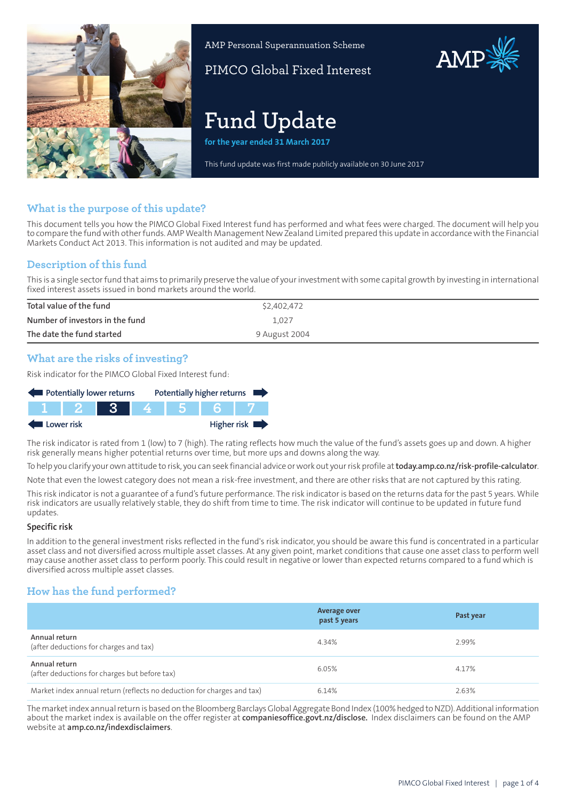

AMP Personal Superannuation Scheme

PIMCO Global Fixed Interest

# **Fund Update**

**for the year ended 31 March 2017**

This fund update was first made publicly available on 30 June 2017

## **What is the purpose of this update?**

This document tells you how the PIMCO Global Fixed Interest fund has performed and what fees were charged. The document will help you to compare the fund with other funds. AMP Wealth Management New Zealand Limited prepared this update in accordance with the Financial Markets Conduct Act 2013. This information is not audited and may be updated.

## **Description of this fund**

This is a single sectorfund that aims to primarily preserve the value of yourinvestment with some capital growth by investing in international fixed interest assets issued in bond markets around the world.

| Total value of the fund         | \$2,402,472   |
|---------------------------------|---------------|
| Number of investors in the fund | 1.027         |
| The date the fund started       | 9 August 2004 |

## **What are the risks of investing?**

Risk indicator for the PIMCO Global Fixed Interest fund:



The risk indicator is rated from 1 (low) to 7 (high). The rating reflects how much the value of the fund's assets goes up and down. A higher risk generally means higher potential returns over time, but more ups and downs along the way.

To help you clarify your own attitude to risk, you can seek financial advice orwork out yourrisk profile at**[today.amp.co.nz/risk-profile-calculator](http://today.amp.co.nz/risk-profile-calculator)**. Note that even the lowest category does not mean a risk-free investment, and there are other risks that are not captured by this rating.

This risk indicator is not a guarantee of a fund's future performance. The risk indicator is based on the returns data for the past 5 years. While risk indicators are usually relatively stable, they do shift from time to time. The risk indicator will continue to be updated in future fund updates.

#### **Specific risk**

In addition to the general investment risks reflected in the fund's risk indicator, you should be aware this fund is concentrated in a particular asset class and not diversified across multiple asset classes. At any given point, market conditions that cause one asset class to perform well may cause another asset class to perform poorly. This could result in negative or lower than expected returns compared to a fund which is diversified across multiple asset classes.

## **How has the fund performed?**

|                                                                        | <b>Average over</b><br>past 5 years | Past year |
|------------------------------------------------------------------------|-------------------------------------|-----------|
| Annual return<br>(after deductions for charges and tax)                | 4.34%                               | 2.99%     |
| Annual return<br>(after deductions for charges but before tax)         | 6.05%                               | 4.17%     |
| Market index annual return (reflects no deduction for charges and tax) | 6.14%                               | 2.63%     |

The market index annual return is based on the Bloomberg Barclays Global Aggregate Bond Index (100% hedged to NZD). Additional information about the market index is available on the offer register at **[companiesoffice.govt.nz/disclose.](http://companiesoffice.govt.nz/disclose)** Index disclaimers can be found on the AMP website at **[amp.co.nz/indexdisclaimers](http://amp.co.nz/indexdisclaimers)**.

AMP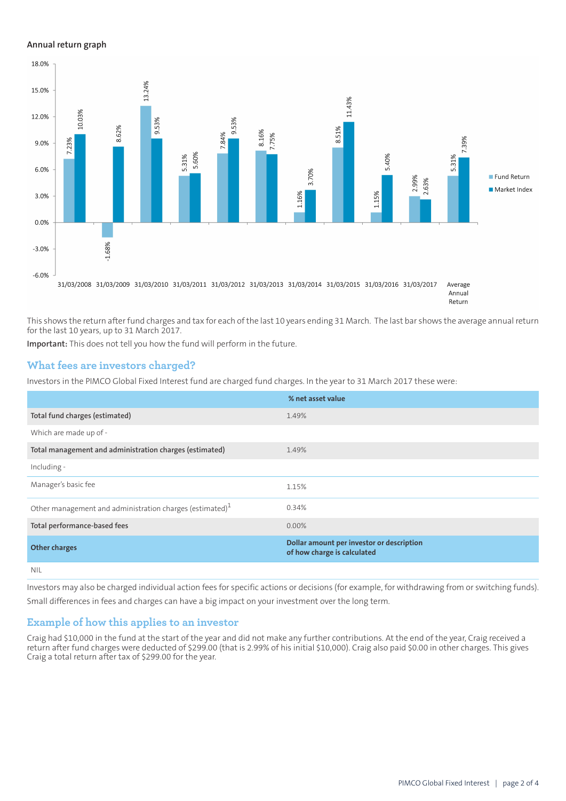#### **Annual return graph**



This shows the return after fund charges and tax for each of the last 10 years ending 31 March. The last bar shows the average annual return for the last 10 years, up to 31 March 2017.

**Important:** This does not tell you how the fund will perform in the future.

### **What fees are investors charged?**

Investors in the PIMCO Global Fixed Interest fund are charged fund charges. In the year to 31 March 2017 these were:

|                                                             | % net asset value                                                        |
|-------------------------------------------------------------|--------------------------------------------------------------------------|
| Total fund charges (estimated)                              | 1.49%                                                                    |
| Which are made up of -                                      |                                                                          |
| Total management and administration charges (estimated)     | 1.49%                                                                    |
| Including -                                                 |                                                                          |
| Manager's basic fee                                         | 1.15%                                                                    |
| Other management and administration charges (estimated) $1$ | 0.34%                                                                    |
| Total performance-based fees                                | $0.00\%$                                                                 |
| <b>Other charges</b>                                        | Dollar amount per investor or description<br>of how charge is calculated |
| <b>NIL</b>                                                  |                                                                          |

Investors may also be charged individual action fees for specific actions or decisions (for example, for withdrawing from or switching funds). Small differences in fees and charges can have a big impact on your investment over the long term.

#### **Example of how this applies to an investor**

Craig had \$10,000 in the fund at the start of the year and did not make any further contributions. At the end of the year, Craig received a return after fund charges were deducted of \$299.00 (that is 2.99% of his initial \$10,000). Craig also paid \$0.00 in other charges. This gives Craig a total return after tax of \$299.00 for the year.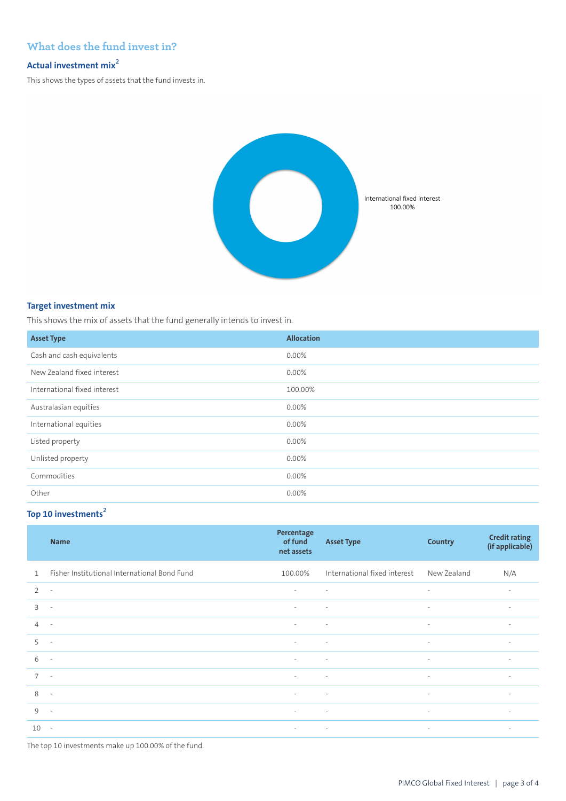## **What does the fund invest in?**

### **Actual investment mix<sup>2</sup>**

This shows the types of assets that the fund invests in.



#### **Target investment mix**

This shows the mix of assets that the fund generally intends to invest in.

| <b>Asset Type</b>            | <b>Allocation</b> |
|------------------------------|-------------------|
| Cash and cash equivalents    | 0.00%             |
| New Zealand fixed interest   | 0.00%             |
| International fixed interest | 100.00%           |
| Australasian equities        | 0.00%             |
| International equities       | 0.00%             |
| Listed property              | 0.00%             |
| Unlisted property            | 0.00%             |
| Commodities                  | 0.00%             |
| Other                        | 0.00%             |

## **Top 10 investments<sup>2</sup>**

|                          | <b>Name</b>                                  | Percentage<br>of fund<br>net assets | <b>Asset Type</b>            | Country                  | <b>Credit rating</b><br>(if applicable) |
|--------------------------|----------------------------------------------|-------------------------------------|------------------------------|--------------------------|-----------------------------------------|
| $\mathbf{1}$             | Fisher Institutional International Bond Fund | 100.00%                             | International fixed interest | New Zealand              | N/A                                     |
| $\overline{2}$           | $\sim$                                       | $\overline{\phantom{a}}$            | $\sim$                       | $\overline{\phantom{a}}$ | $\overline{\phantom{a}}$                |
| $\overline{\mathcal{E}}$ | $\overline{\phantom{a}}$                     | $\sim$                              | $\sim$                       | $\overline{\phantom{a}}$ | $\overline{\phantom{a}}$                |
| $\overline{4}$           | $\sim$                                       | $\sim$                              | $\sim$                       | $\overline{\phantom{a}}$ | $\sim$                                  |
| 5                        | $\overline{\phantom{a}}$                     | $\sim$                              | $\sim$                       | $\overline{\phantom{a}}$ | $\overline{\phantom{a}}$                |
| 6                        | $\overline{\phantom{a}}$                     | $\sim$                              | $\sim$                       | $\overline{\phantom{a}}$ | $\sim$                                  |
| $7^{\circ}$              | $\sim$                                       | $\sim$                              | $\sim$                       | $\sim$                   | $\sim$                                  |
| 8                        | $\sim$                                       | $\sim$                              | $\sim$                       | $\overline{\phantom{a}}$ | $\overline{\phantom{a}}$                |
| $\mathcal{Q}$            | $\sim$                                       | $\sim$                              | $\sim$                       | $\overline{\phantom{a}}$ | $\sim$                                  |
| 10                       | $\sim$                                       | $\sim$                              | $\sim$                       | $\overline{\phantom{a}}$ | $\sim$                                  |

The top 10 investments make up 100.00% of the fund.